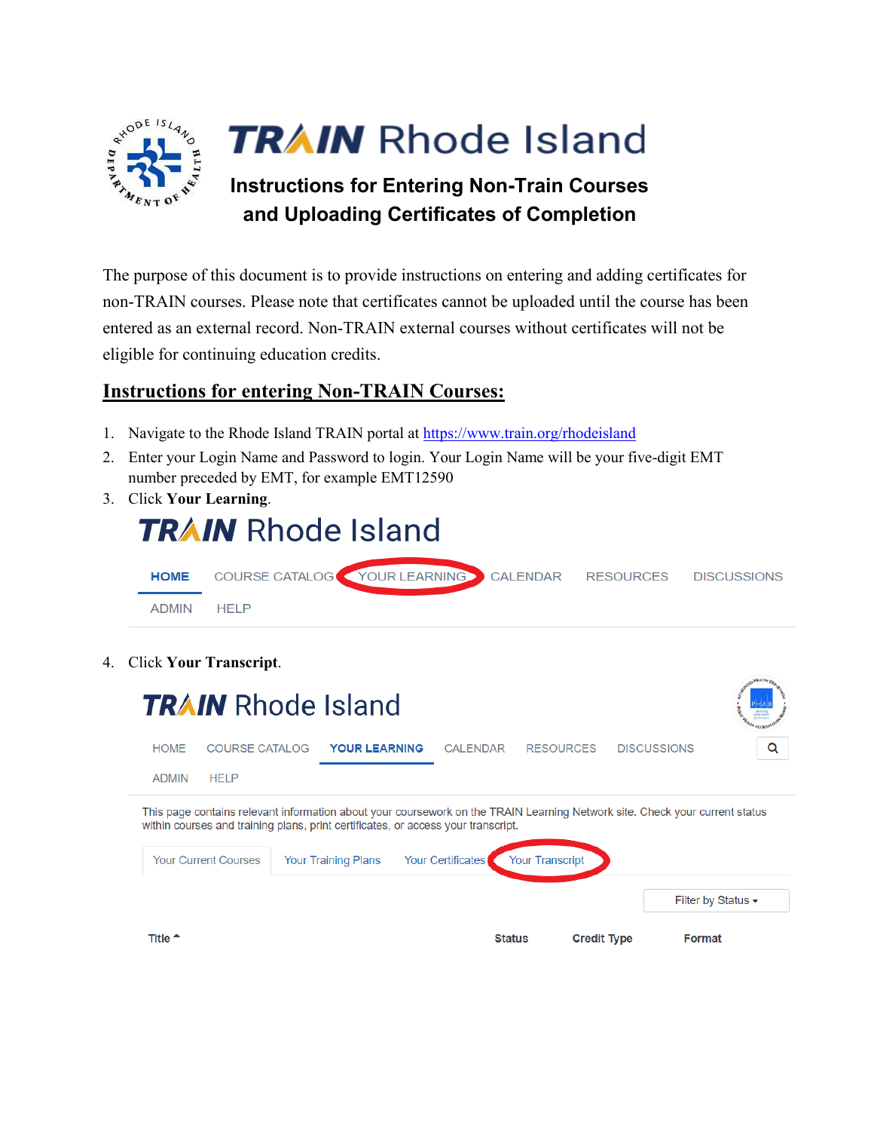

## **TRAIN** Rhode Island

## **Instructions for Entering Non-Train Courses and Uploading Certificates of Completion**

The purpose of this document is to provide instructions on entering and adding certificates for non-TRAIN courses. Please note that certificates cannot be uploaded until the course has been entered as an external record. Non-TRAIN external courses without certificates will not be eligible for continuing education credits.

## **Instructions for entering Non-TRAIN Courses:**

- 1. Navigate to the Rhode Island TRAIN portal at<https://www.train.org/rhodeisland>
- 2. Enter your Login Name and Password to login. Your Login Name will be your five-digit EMT number preceded by EMT, for example EMT12590
- 3. Click **Your Learning**.



4. Click **Your Transcript**.

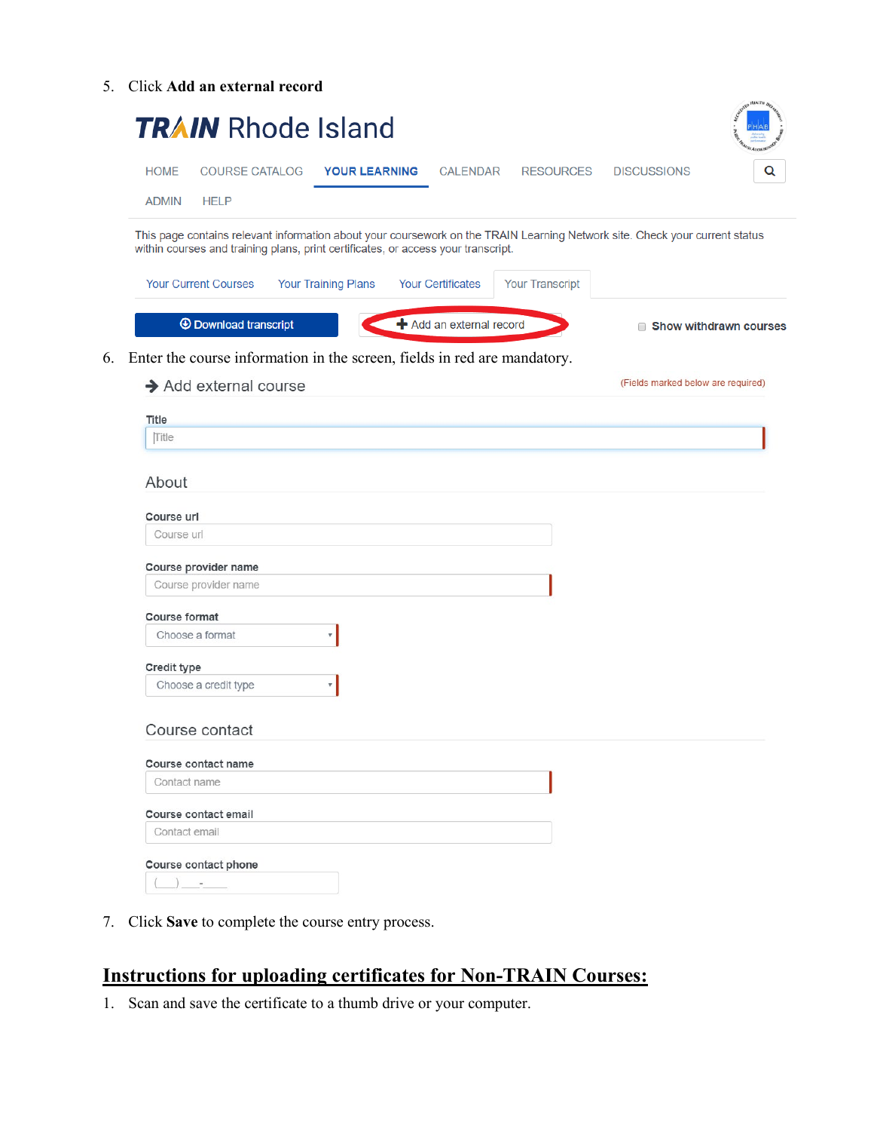5. Click **Add an external record**

| <b>HOME</b>              | <b>COURSE CATALOG</b>                                                             | <b>YOUR LEARNING</b>       | <b>CALENDAR</b>          | RESOURCES              | <b>DISCUSSIONS</b> |                                                                                                                             |
|--------------------------|-----------------------------------------------------------------------------------|----------------------------|--------------------------|------------------------|--------------------|-----------------------------------------------------------------------------------------------------------------------------|
| <b>ADMIN</b>             | <b>HELP</b>                                                                       |                            |                          |                        |                    |                                                                                                                             |
|                          |                                                                                   |                            |                          |                        |                    | This page contains relevant information about your coursework on the TRAIN Learning Network site. Check your current status |
|                          | within courses and training plans, print certificates, or access your transcript. |                            |                          |                        |                    |                                                                                                                             |
|                          | <b>Your Current Courses</b>                                                       | <b>Your Training Plans</b> | <b>Your Certificates</b> | <b>Your Transcript</b> |                    |                                                                                                                             |
|                          | <b>1</b> Download transcript                                                      |                            | + Add an external record |                        |                    | ■ Show withdrawn courses                                                                                                    |
|                          | Enter the course information in the screen, fields in red are mandatory.          |                            |                          |                        |                    |                                                                                                                             |
|                          | $\rightarrow$ Add external course                                                 |                            |                          |                        |                    | (Fields marked below are required)                                                                                          |
|                          |                                                                                   |                            |                          |                        |                    |                                                                                                                             |
| <b>Title</b>             |                                                                                   |                            |                          |                        |                    |                                                                                                                             |
| Title                    |                                                                                   |                            |                          |                        |                    |                                                                                                                             |
| About                    |                                                                                   |                            |                          |                        |                    |                                                                                                                             |
| Course url<br>Course url |                                                                                   |                            |                          |                        |                    |                                                                                                                             |
|                          |                                                                                   |                            |                          |                        |                    |                                                                                                                             |
|                          | Course provider name<br>Course provider name                                      |                            |                          |                        |                    |                                                                                                                             |
| Course format            |                                                                                   |                            |                          |                        |                    |                                                                                                                             |
|                          | Choose a format                                                                   | ۷                          |                          |                        |                    |                                                                                                                             |
| <b>Credit type</b>       |                                                                                   |                            |                          |                        |                    |                                                                                                                             |
|                          | Choose a credit type                                                              | v                          |                          |                        |                    |                                                                                                                             |
|                          | Course contact                                                                    |                            |                          |                        |                    |                                                                                                                             |
|                          | Course contact name                                                               |                            |                          |                        |                    |                                                                                                                             |
| Contact name             |                                                                                   |                            |                          |                        |                    |                                                                                                                             |
|                          | Course contact email                                                              |                            |                          |                        |                    |                                                                                                                             |
|                          | Contact email                                                                     |                            |                          |                        |                    |                                                                                                                             |

7. Click **Save** to complete the course entry process.

## **Instructions for uploading certificates for Non-TRAIN Courses:**

1. Scan and save the certificate to a thumb drive or your computer.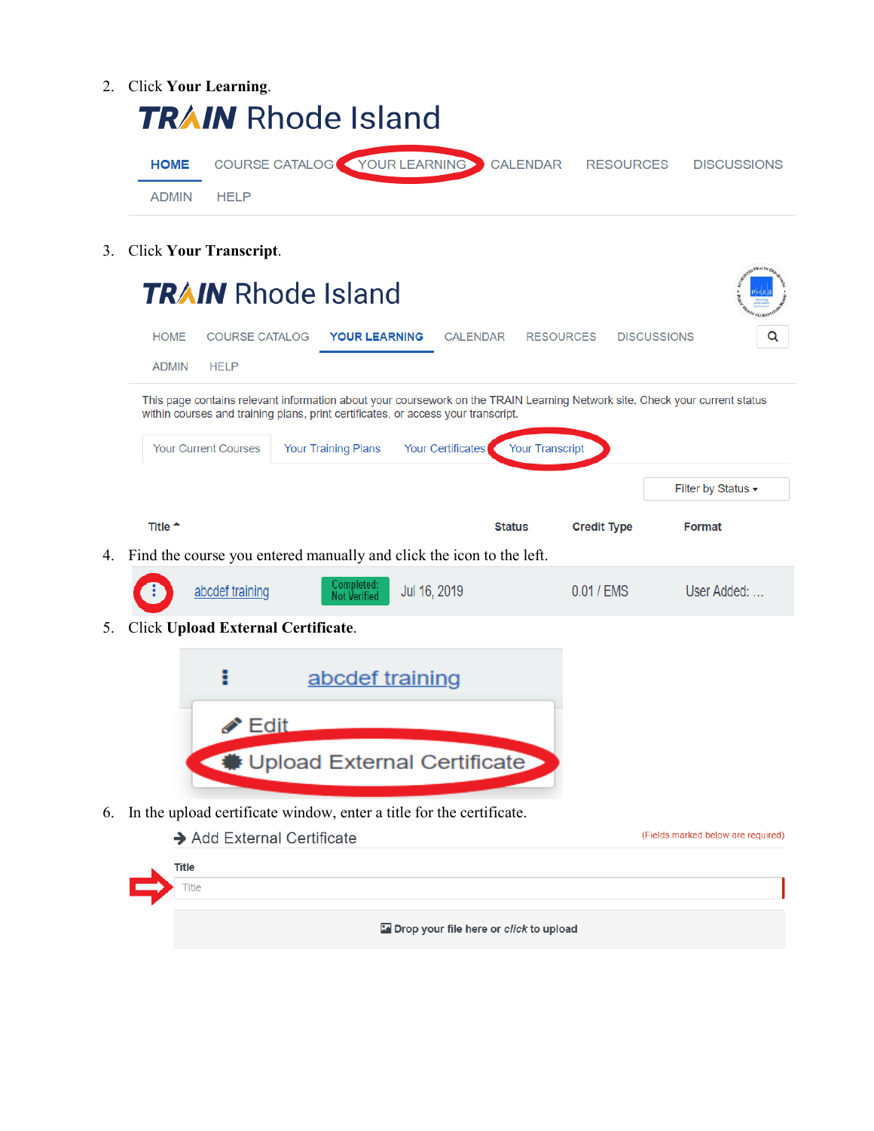- 2. Click **Your Learning**. **TRAIN** Rhode Island COURSE CATALOG YOUR LEARNING CALENDAR **HOME RESOURCES DISCUSSIONS ADMIN HELP**
- 3. Click **Your Transcript**.

|    |                                                                      |                            | <b>TRAIN</b> Rhode Island                                                         |                   |                        |                    |                                                                                                                             |
|----|----------------------------------------------------------------------|----------------------------|-----------------------------------------------------------------------------------|-------------------|------------------------|--------------------|-----------------------------------------------------------------------------------------------------------------------------|
|    | <b>HOME</b>                                                          | <b>COURSE CATALOG</b>      | <b>YOUR LEARNING</b>                                                              | <b>CALENDAR</b>   |                        | <b>RESOURCES</b>   | <b>DISCUSSIONS</b><br>Q                                                                                                     |
|    | <b>ADMIN</b><br><b>HELP</b>                                          |                            |                                                                                   |                   |                        |                    |                                                                                                                             |
|    |                                                                      |                            | within courses and training plans, print certificates, or access your transcript. |                   |                        |                    | This page contains relevant information about your coursework on the TRAIN Learning Network site. Check your current status |
|    | <b>Your Current Courses</b>                                          |                            | <b>Your Training Plans</b>                                                        | Your Certificates | <b>Your Transcript</b> |                    |                                                                                                                             |
|    |                                                                      |                            |                                                                                   |                   |                        |                    | Filter by Status -                                                                                                          |
|    | Title <sup>+</sup>                                                   |                            |                                                                                   |                   | <b>Status</b>          | <b>Credit Type</b> | <b>Format</b>                                                                                                               |
| 4. | Find the course you entered manually and click the icon to the left. |                            |                                                                                   |                   |                        |                    |                                                                                                                             |
|    |                                                                      | abcdef training            | Completed:<br><b>Not Verified</b>                                                 | Jul 16, 2019      |                        | 0.01 / EMS         | User Added:                                                                                                                 |
| 5. | Click Upload External Certificate.                                   |                            |                                                                                   |                   |                        |                    |                                                                                                                             |
|    |                                                                      |                            | abcdef training                                                                   |                   |                        |                    |                                                                                                                             |
|    |                                                                      | $\blacktriangleright$ Edit |                                                                                   |                   |                        |                    |                                                                                                                             |
|    |                                                                      |                            | Upload External Certificate                                                       |                   |                        |                    |                                                                                                                             |
| 6. | In the upload certificate window, enter a title for the certificate. |                            |                                                                                   |                   |                        |                    |                                                                                                                             |
|    |                                                                      | Add External Certificate   |                                                                                   |                   |                        |                    | (Fields marked below are required)                                                                                          |
|    | Title<br>Title                                                       |                            |                                                                                   |                   |                        |                    |                                                                                                                             |

Drop your file here or click to upload